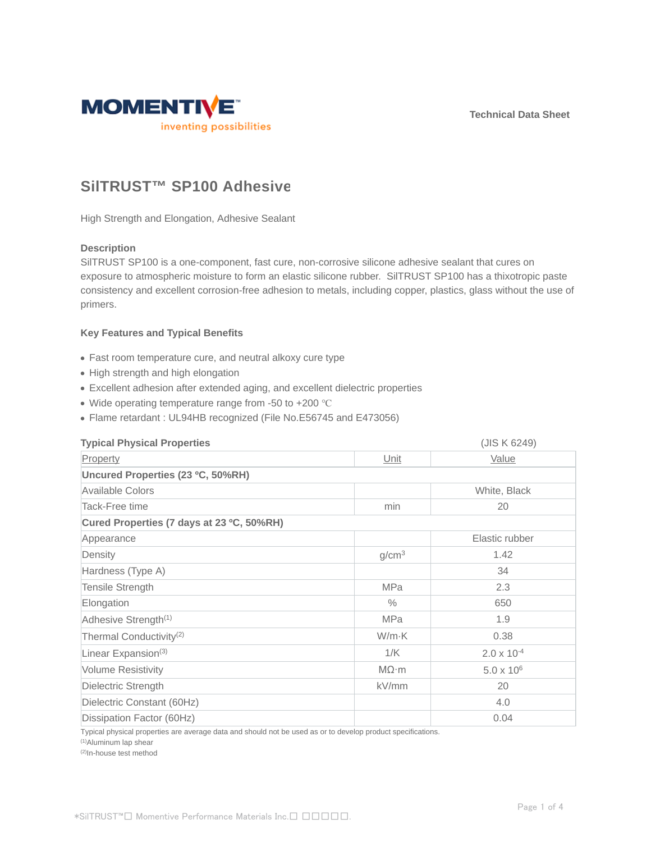**Technical Data Sheet**



# **SilTRUST™ SP100 Adhesive**

High Strength and Elongation, Adhesive Sealant

### **Description**

SilTRUST SP100 is a one-component, fast cure, non-corrosive silicone adhesive sealant that cures on exposure to atmospheric moisture to form an elastic silicone rubber. SilTRUST SP100 has a thixotropic paste consistency and excellent corrosion-free adhesion to metals, including copper, plastics, glass without the use of primers.

# **Key Features and Typical Benefits**

- Fast room temperature cure, and neutral alkoxy cure type
- High strength and high elongation
- Excellent adhesion after extended aging, and excellent dielectric properties
- Wide operating temperature range from -50 to +200 °C
- Flame retardant : UL94HB recognized (File No.E56745 and E473056)

| <b>Typical Physical Properties</b>        |                   | (JIS K 6249)         |  |  |
|-------------------------------------------|-------------------|----------------------|--|--|
| Property                                  | Unit              | <b>Value</b>         |  |  |
| Uncured Properties (23 °C, 50%RH)         |                   |                      |  |  |
| Available Colors                          |                   | White, Black         |  |  |
| Tack-Free time                            | min               | 20                   |  |  |
| Cured Properties (7 days at 23 °C, 50%RH) |                   |                      |  |  |
| Appearance                                |                   | Elastic rubber       |  |  |
| Density                                   | g/cm <sup>3</sup> | 1.42                 |  |  |
| Hardness (Type A)                         |                   | 34                   |  |  |
| Tensile Strength                          | <b>MPa</b>        | 2.3                  |  |  |
| Elongation                                | $\%$              | 650                  |  |  |
| Adhesive Strength <sup>(1)</sup>          | <b>MPa</b>        | 1.9                  |  |  |
| Thermal Conductivity <sup>(2)</sup>       | W/m·K             | 0.38                 |  |  |
| Linear Expansion <sup>(3)</sup>           | 1/K               | $2.0 \times 10^{-4}$ |  |  |
| <b>Volume Resistivity</b>                 | $M\Omega \cdot m$ | $5.0 \times 10^{6}$  |  |  |
| Dielectric Strength                       | kV/mm             | 20                   |  |  |
| Dielectric Constant (60Hz)                |                   | 4.0                  |  |  |
| Dissipation Factor (60Hz)                 |                   | 0.04                 |  |  |

Typical physical properties are average data and should not be used as or to develop product specifications.

(1)Aluminum lap shear

(2)In-house test method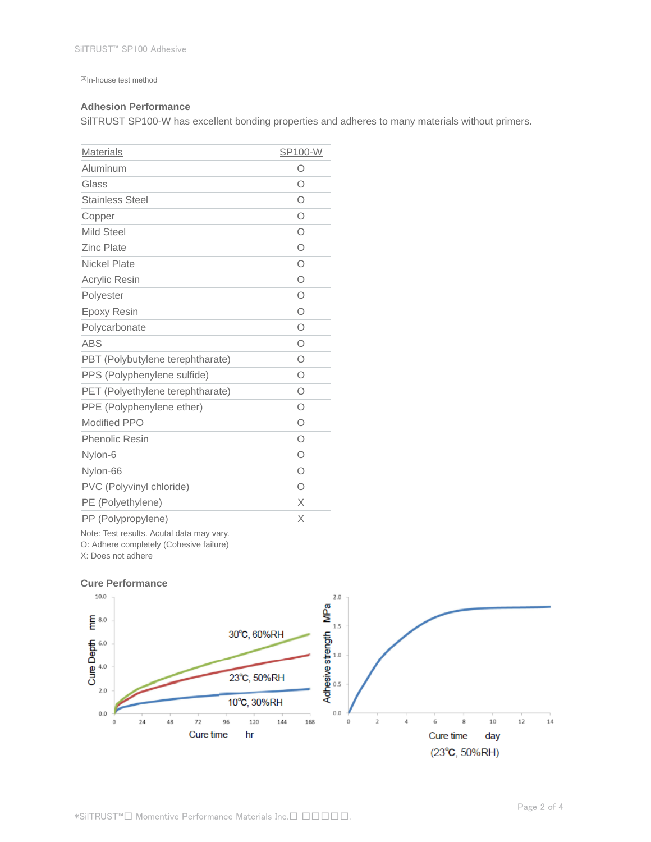(3)In-house test method

### **Adhesion Performance**

SilTRUST SP100-W has excellent bonding properties and adheres to many materials without primers.

| <b>Materials</b>                 | SP100-W    |
|----------------------------------|------------|
| Aluminum                         | О          |
| Glass                            | $\circ$    |
| <b>Stainless Steel</b>           | $\circ$    |
| Copper                           | $\circ$    |
| <b>Mild Steel</b>                | $\bigcirc$ |
| <b>Zinc Plate</b>                | $\bigcirc$ |
| Nickel Plate                     | $\bigcirc$ |
| <b>Acrylic Resin</b>             | $\bigcirc$ |
| Polyester                        | O          |
| Epoxy Resin                      | $\circ$    |
| Polycarbonate                    | O          |
| <b>ABS</b>                       | $\circ$    |
| PBT (Polybutylene terephtharate) | $\circ$    |
| PPS (Polyphenylene sulfide)      | $\bigcirc$ |
| PET (Polyethylene terephtharate) | $\bigcirc$ |
| PPE (Polyphenylene ether)        | Ο          |
| <b>Modified PPO</b>              | Ο          |
| <b>Phenolic Resin</b>            | $\circ$    |
| Nylon-6                          | $\circ$    |
| Nylon-66                         | O          |
| PVC (Polyvinyl chloride)         | Ω          |
| PE (Polyethylene)                | X          |
| PP (Polypropylene)               | X          |

Note: Test results. Acutal data may vary.

O: Adhere completely (Cohesive failure)

X: Does not adhere

#### **Cure Performance**

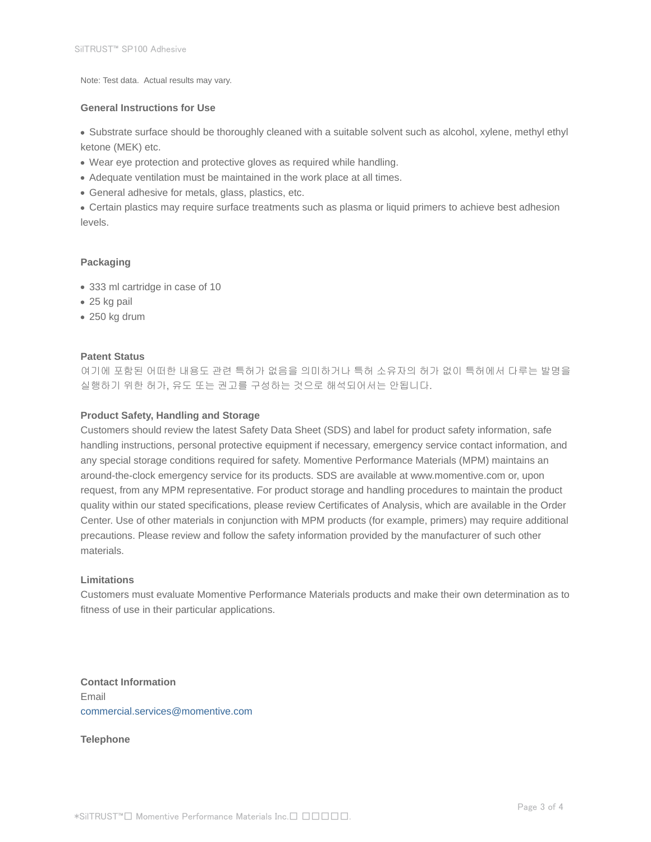Note: Test data. Actual results may vary.

### **General Instructions for Use**

Substrate surface should be thoroughly cleaned with a suitable solvent such as alcohol, xylene, methyl ethyl ketone (MEK) etc.

- Wear eye protection and protective gloves as required while handling.
- Adequate ventilation must be maintained in the work place at all times.
- General adhesive for metals, glass, plastics, etc.

Certain plastics may require surface treatments such as plasma or liquid primers to achieve best adhesion levels.

### **Packaging**

- 333 ml cartridge in case of 10
- 25 kg pail
- 250 kg drum

#### **Patent Status**

여기에 포함된 어떠한 내용도 관련 특허가 없음을 의미하거나 특허 소유자의 허가 없이 특허에서 다루는 발명을 실행하기 위한 허가, 유도 또는 권고를 구성하는 것으로 해석되어서는 안됩니다.

### **Product Safety, Handling and Storage**

Customers should review the latest Safety Data Sheet (SDS) and label for product safety information, safe handling instructions, personal protective equipment if necessary, emergency service contact information, and any special storage conditions required for safety. Momentive Performance Materials (MPM) maintains an around-the-clock emergency service for its products. SDS are available at www.momentive.com or, upon request, from any MPM representative. For product storage and handling procedures to maintain the product quality within our stated specifications, please review Certificates of Analysis, which are available in the Order Center. Use of other materials in conjunction with MPM products (for example, primers) may require additional precautions. Please review and follow the safety information provided by the manufacturer of such other materials.

#### **Limitations**

Customers must evaluate Momentive Performance Materials products and make their own determination as to fitness of use in their particular applications.

**Contact Information** Email commercial.services@momentive.com

**Telephone**